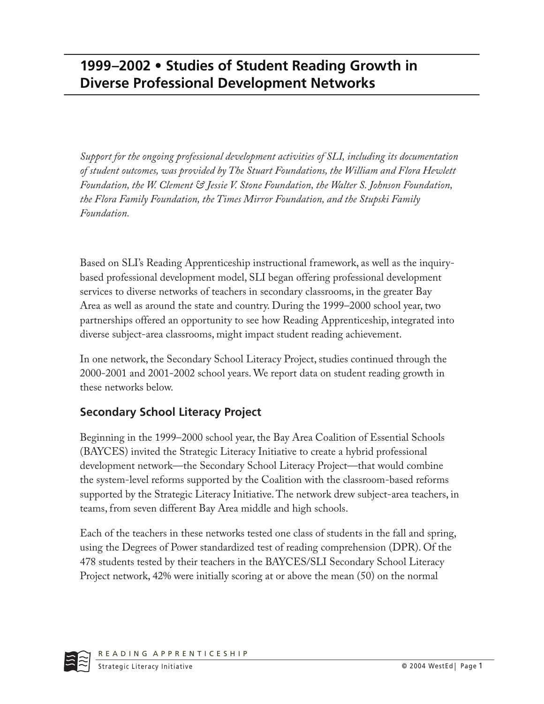## **1999–2002 • Studies of Student Reading Growth in Diverse Professional Development Networks**

*Support for the ongoing professional development activities of SLI, including its documentation of student outcomes, was provided by The Stuart Foundations, the William and Flora Hewlett Foundation, the W. Clement & Jessie V. Stone Foundation, the Walter S. Johnson Foundation, the Flora Family Foundation, the Times Mirror Foundation, and the Stupski Family Foundation.*

Based on SLI's Reading Apprenticeship instructional framework, as well as the inquirybased professional development model, SLI began offering professional development services to diverse networks of teachers in secondary classrooms, in the greater Bay Area as well as around the state and country. During the 1999–2000 school year, two partnerships offered an opportunity to see how Reading Apprenticeship, integrated into diverse subject-area classrooms, might impact student reading achievement.

In one network, the Secondary School Literacy Project, studies continued through the 2000-2001 and 2001-2002 school years. We report data on student reading growth in these networks below.

## **Secondary School Literacy Project**

Beginning in the 1999–2000 school year, the Bay Area Coalition of Essential Schools (BAYCES) invited the Strategic Literacy Initiative to create a hybrid professional development network—the Secondary School Literacy Project—that would combine the system-level reforms supported by the Coalition with the classroom-based reforms supported by the Strategic Literacy Initiative. The network drew subject-area teachers, in teams, from seven different Bay Area middle and high schools.

Each of the teachers in these networks tested one class of students in the fall and spring, using the Degrees of Power standardized test of reading comprehension (DPR). Of the 478 students tested by their teachers in the BAYCES/SLI Secondary School Literacy Project network, 42% were initially scoring at or above the mean (50) on the normal

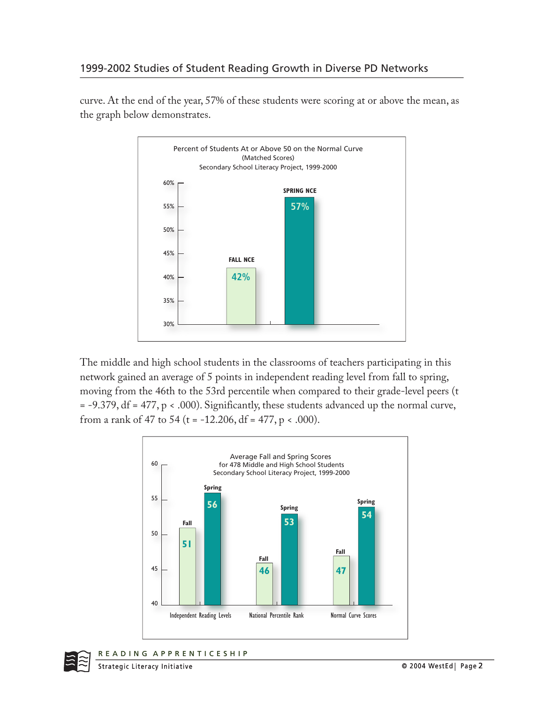

curve. At the end of the year, 57% of these students were scoring at or above the mean, as the graph below demonstrates.

The middle and high school students in the classrooms of teachers participating in this network gained an average of 5 points in independent reading level from fall to spring, moving from the 46th to the 53rd percentile when compared to their grade-level peers (t = -9.379, df = 477, p < .000). Significantly, these students advanced up the normal curve, from a rank of 47 to 54 (t = -12.206, df = 477, p < .000).



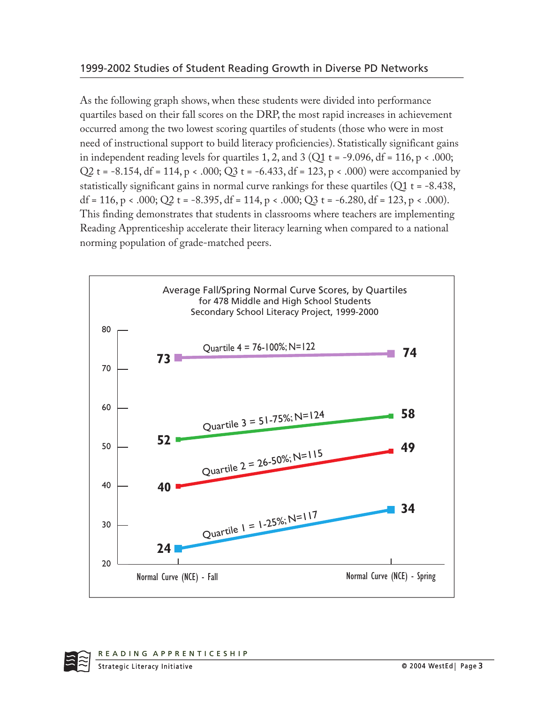As the following graph shows, when these students were divided into performance quartiles based on their fall scores on the DRP, the most rapid increases in achievement occurred among the two lowest scoring quartiles of students (those who were in most need of instructional support to build literacy proficiencies). Statistically significant gains in independent reading levels for quartiles 1, 2, and 3 (Q1  $t = -9.096$ , df = 116, p < .000; Q2 t = -8.154, df = 114, p < .000; Q3 t = -6.433, df = 123, p < .000) were accompanied by statistically significant gains in normal curve rankings for these quartiles ( $Q1$  t = -8.438, df = 116, p < .000; Q2 t = -8.395, df = 114, p < .000; Q3 t = -6.280, df = 123, p < .000). This finding demonstrates that students in classrooms where teachers are implementing Reading Apprenticeship accelerate their literacy learning when compared to a national norming population of grade-matched peers.

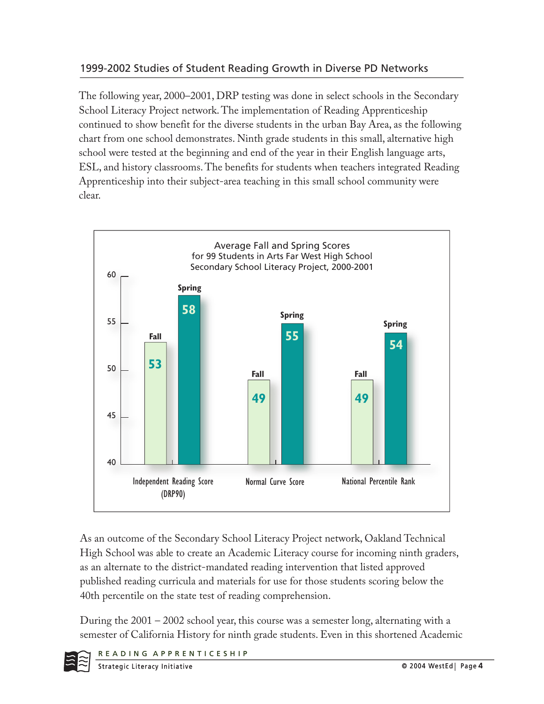## 1999-2002 Studies of Student Reading Growth in Diverse PD Networks

The following year, 2000–2001, DRP testing was done in select schools in the Secondary School Literacy Project network. The implementation of Reading Apprenticeship continued to show benefit for the diverse students in the urban Bay Area, as the following chart from one school demonstrates. Ninth grade students in this small, alternative high school were tested at the beginning and end of the year in their English language arts, ESL, and history classrooms. The benefits for students when teachers integrated Reading Apprenticeship into their subject-area teaching in this small school community were clear.



As an outcome of the Secondary School Literacy Project network, Oakland Technical High School was able to create an Academic Literacy course for incoming ninth graders, as an alternate to the district-mandated reading intervention that listed approved published reading curricula and materials for use for those students scoring below the 40th percentile on the state test of reading comprehension.

During the  $2001 - 2002$  school year, this course was a semester long, alternating with a semester of California History for ninth grade students. Even in this shortened Academic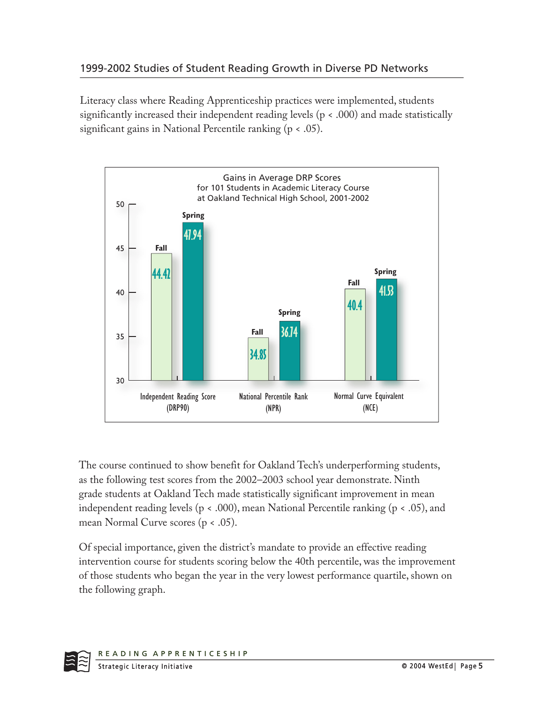Literacy class where Reading Apprenticeship practices were implemented, students significantly increased their independent reading levels (p < .000) and made statistically significant gains in National Percentile ranking (p < .05).



The course continued to show benefit for Oakland Tech's underperforming students, as the following test scores from the 2002–2003 school year demonstrate. Ninth grade students at Oakland Tech made statistically significant improvement in mean independent reading levels ( $p < .000$ ), mean National Percentile ranking ( $p < .05$ ), and mean Normal Curve scores (p < .05).

Of special importance, given the district's mandate to provide an effective reading intervention course for students scoring below the 40th percentile, was the improvement of those students who began the year in the very lowest performance quartile, shown on the following graph.

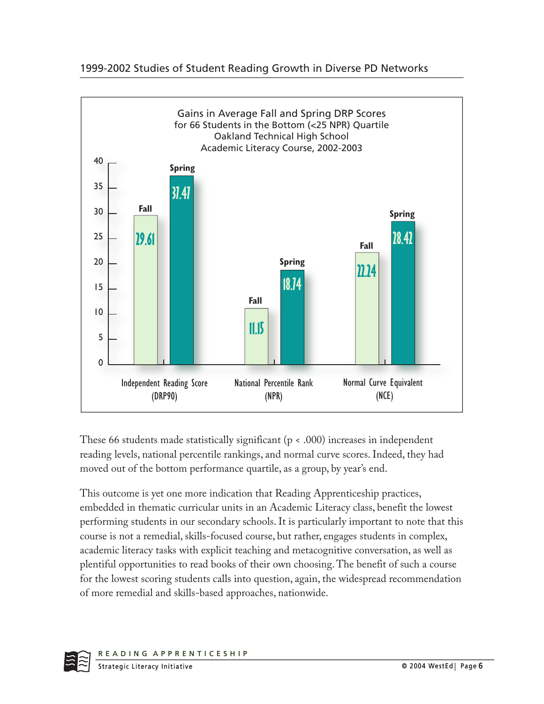



These 66 students made statistically significant ( $p < .000$ ) increases in independent reading levels, national percentile rankings, and normal curve scores. Indeed, they had moved out of the bottom performance quartile, as a group, by year's end.

This outcome is yet one more indication that Reading Apprenticeship practices, embedded in thematic curricular units in an Academic Literacy class, benefit the lowest performing students in our secondary schools. It is particularly important to note that this course is not a remedial, skills-focused course, but rather, engages students in complex, academic literacy tasks with explicit teaching and metacognitive conversation, as well as plentiful opportunities to read books of their own choosing. The benefit of such a course for the lowest scoring students calls into question, again, the widespread recommendation of more remedial and skills-based approaches, nationwide.

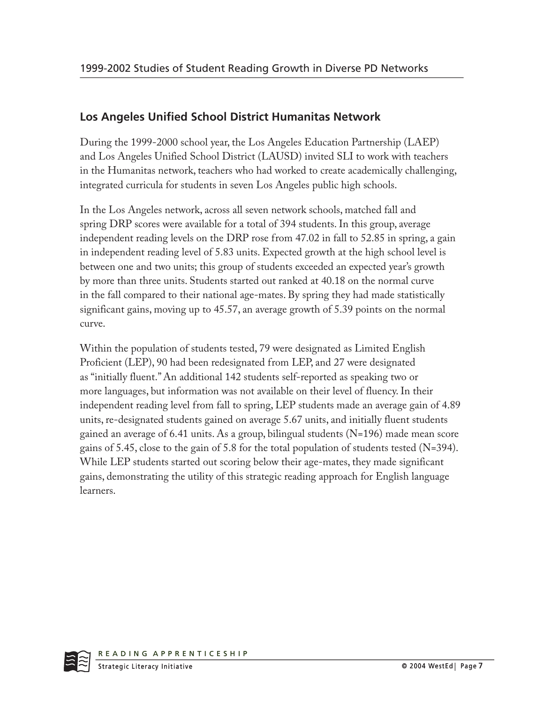## **Los Angeles Unified School District Humanitas Network**

During the 1999-2000 school year, the Los Angeles Education Partnership (LAEP) and Los Angeles Unified School District (LAUSD) invited SLI to work with teachers in the Humanitas network, teachers who had worked to create academically challenging, integrated curricula for students in seven Los Angeles public high schools.

In the Los Angeles network, across all seven network schools, matched fall and spring DRP scores were available for a total of 394 students. In this group, average independent reading levels on the DRP rose from 47.02 in fall to 52.85 in spring, a gain in independent reading level of 5.83 units. Expected growth at the high school level is between one and two units; this group of students exceeded an expected year's growth by more than three units. Students started out ranked at 40.18 on the normal curve in the fall compared to their national age-mates. By spring they had made statistically significant gains, moving up to 45.57, an average growth of 5.39 points on the normal curve.

Within the population of students tested, 79 were designated as Limited English Proficient (LEP), 90 had been redesignated from LEP, and 27 were designated as "initially fluent." An additional 142 students self-reported as speaking two or more languages, but information was not available on their level of fluency. In their independent reading level from fall to spring, LEP students made an average gain of 4.89 units, re-designated students gained on average 5.67 units, and initially fluent students gained an average of 6.41 units. As a group, bilingual students (N=196) made mean score gains of 5.45, close to the gain of 5.8 for the total population of students tested (N=394). While LEP students started out scoring below their age-mates, they made significant gains, demonstrating the utility of this strategic reading approach for English language learners.